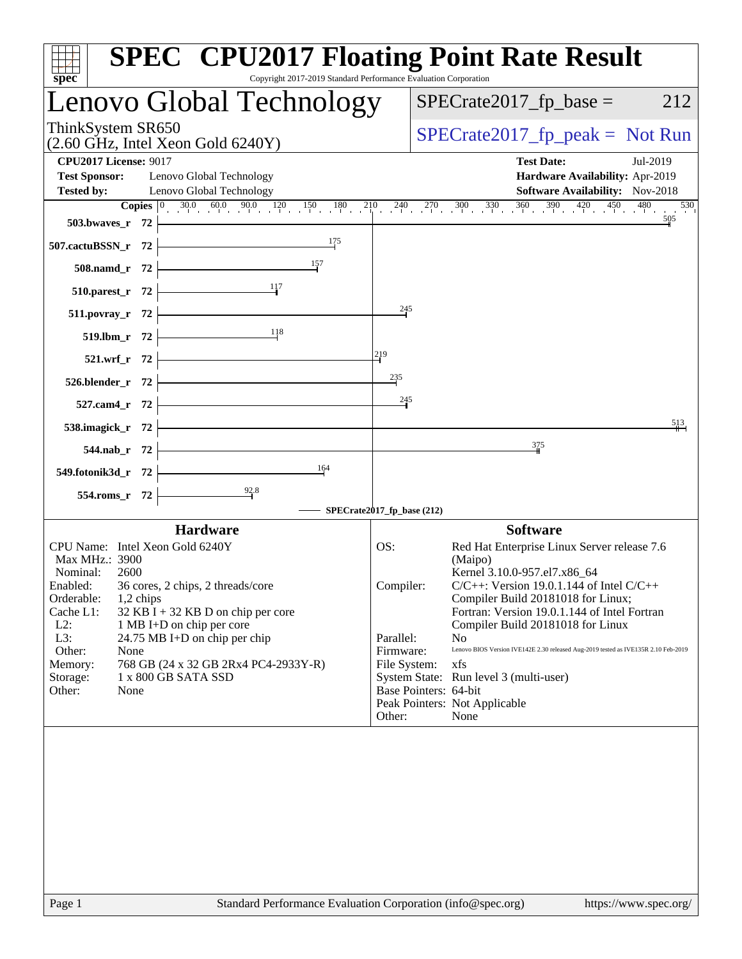| <b>SPEC<sup>®</sup> CPU2017 Floating Point Rate Result</b><br>Copyright 2017-2019 Standard Performance Evaluation Corporation<br>$spec^*$                                                                                                                                                                                                                                                                                                                        |                                                                                                                                                                                                                                                                                                                                                                                                                                                                                                                                                            |
|------------------------------------------------------------------------------------------------------------------------------------------------------------------------------------------------------------------------------------------------------------------------------------------------------------------------------------------------------------------------------------------------------------------------------------------------------------------|------------------------------------------------------------------------------------------------------------------------------------------------------------------------------------------------------------------------------------------------------------------------------------------------------------------------------------------------------------------------------------------------------------------------------------------------------------------------------------------------------------------------------------------------------------|
| Lenovo Global Technology                                                                                                                                                                                                                                                                                                                                                                                                                                         | $SPECrate2017fp base =$<br>212                                                                                                                                                                                                                                                                                                                                                                                                                                                                                                                             |
| ThinkSystem SR650<br>$(2.60 \text{ GHz}, \text{Intel Xeon Gold } 6240 \text{Y})$                                                                                                                                                                                                                                                                                                                                                                                 | $SPECrate2017_fp\_peak = Not Run$                                                                                                                                                                                                                                                                                                                                                                                                                                                                                                                          |
| <b>CPU2017 License: 9017</b><br><b>Test Sponsor:</b><br>Lenovo Global Technology<br>Lenovo Global Technology<br><b>Tested by:</b><br><b>Copies</b> $\begin{bmatrix} 0 & 30.0 & 60.0 & 90.0 & 120 & 150 & 180 & 210 & 240 & 270 & 300 & 330 & 360 & 390 & 420 & 450 & 480 \end{bmatrix}$<br>503.bwaves_r $72$                                                                                                                                                     | <b>Test Date:</b><br>Jul-2019<br>Hardware Availability: Apr-2019<br>Software Availability: Nov-2018<br>530<br>505                                                                                                                                                                                                                                                                                                                                                                                                                                          |
| 175<br><u> 1989 - Johann Stoff, fransk politik (</u><br>507.cactuBSSN_r 72<br>$\frac{157}{1}$<br>$508$ .namd_r 72<br>$\begin{array}{c c}\n & 117 \\ \hline\n\end{array}$                                                                                                                                                                                                                                                                                         |                                                                                                                                                                                                                                                                                                                                                                                                                                                                                                                                                            |
| $510.parest_r 72$<br>$511.povray_r$ 72<br>519.1bm_r 72 $\frac{11}{8}$                                                                                                                                                                                                                                                                                                                                                                                            | 245                                                                                                                                                                                                                                                                                                                                                                                                                                                                                                                                                        |
| 219<br>521.wrf_r $72$ $\vdash$<br>235<br>526.blender_r $72$ $\vdash$<br><u> 1989 - Johann Barbara, martxa a</u><br>$527$ .cam4_r 72 $\vdash$                                                                                                                                                                                                                                                                                                                     | 245                                                                                                                                                                                                                                                                                                                                                                                                                                                                                                                                                        |
| 538.imagick_r $72$<br><u> 1989 - Johann Barbara, martxa a</u><br>$544.nab_r$ 72<br>$\overline{\phantom{a}164}$                                                                                                                                                                                                                                                                                                                                                   | 513<br>375                                                                                                                                                                                                                                                                                                                                                                                                                                                                                                                                                 |
| 549.fotonik3d_r 72<br>$\frac{92.8}{ }$<br>$554$ .roms_r 72                                                                                                                                                                                                                                                                                                                                                                                                       |                                                                                                                                                                                                                                                                                                                                                                                                                                                                                                                                                            |
| <b>Hardware</b><br>CPU Name: Intel Xeon Gold 6240Y<br>OS:<br>Max MHz.: 3900<br>Nominal:<br>2600<br>Enabled:<br>36 cores, 2 chips, 2 threads/core<br>Orderable:<br>1,2 chips<br>Cache L1:<br>$32$ KB I + 32 KB D on chip per core<br>$L2$ :<br>1 MB I+D on chip per core<br>L3:<br>24.75 MB I+D on chip per chip<br>Parallel:<br>Other:<br>None<br>768 GB (24 x 32 GB 2Rx4 PC4-2933Y-R)<br>Memory:<br>1 x 800 GB SATA SSD<br>Storage:<br>Other:<br>None<br>Other: | <b>Software</b><br>Red Hat Enterprise Linux Server release 7.6<br>(Maipo)<br>Kernel 3.10.0-957.el7.x86_64<br>$C/C++$ : Version 19.0.1.144 of Intel $C/C++$<br>Compiler:<br>Compiler Build 20181018 for Linux;<br>Fortran: Version 19.0.1.144 of Intel Fortran<br>Compiler Build 20181018 for Linux<br>N <sub>0</sub><br>Firmware:<br>Lenovo BIOS Version IVE142E 2.30 released Aug-2019 tested as IVE135R 2.10 Feb-2019<br>File System:<br>xfs<br>System State: Run level 3 (multi-user)<br>Base Pointers: 64-bit<br>Peak Pointers: Not Applicable<br>None |
| Standard Performance Evaluation Corporation (info@spec.org)<br>Page 1                                                                                                                                                                                                                                                                                                                                                                                            | https://www.spec.org/                                                                                                                                                                                                                                                                                                                                                                                                                                                                                                                                      |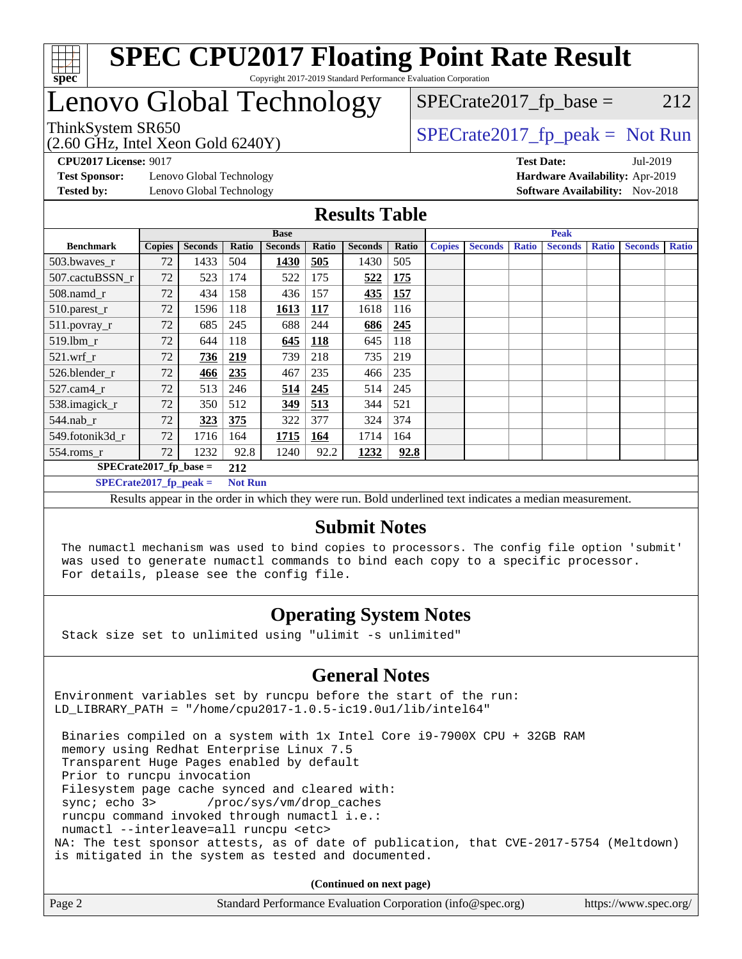

## Lenovo Global Technology

ThinkSystem SR650<br>  $SPECTI<sub>50</sub>CH<sub>2</sub>$  Intel Year Gald 6240Y)

 $SPECTate2017<sub>fr</sub> base = 212$ 

(2.60 GHz, Intel Xeon Gold 6240Y)

**[Test Sponsor:](http://www.spec.org/auto/cpu2017/Docs/result-fields.html#TestSponsor)** Lenovo Global Technology **[Hardware Availability:](http://www.spec.org/auto/cpu2017/Docs/result-fields.html#HardwareAvailability)** Apr-2019 **[Tested by:](http://www.spec.org/auto/cpu2017/Docs/result-fields.html#Testedby)** Lenovo Global Technology **[Software Availability:](http://www.spec.org/auto/cpu2017/Docs/result-fields.html#SoftwareAvailability)** Nov-2018

**[CPU2017 License:](http://www.spec.org/auto/cpu2017/Docs/result-fields.html#CPU2017License)** 9017 **[Test Date:](http://www.spec.org/auto/cpu2017/Docs/result-fields.html#TestDate)** Jul-2019

### **[Results Table](http://www.spec.org/auto/cpu2017/Docs/result-fields.html#ResultsTable)**

|                           | <b>Base</b>                     |                |                |                | <b>Peak</b> |                |       |               |                |              |                |              |                |              |
|---------------------------|---------------------------------|----------------|----------------|----------------|-------------|----------------|-------|---------------|----------------|--------------|----------------|--------------|----------------|--------------|
| <b>Benchmark</b>          | <b>Copies</b>                   | <b>Seconds</b> | Ratio          | <b>Seconds</b> | Ratio       | <b>Seconds</b> | Ratio | <b>Copies</b> | <b>Seconds</b> | <b>Ratio</b> | <b>Seconds</b> | <b>Ratio</b> | <b>Seconds</b> | <b>Ratio</b> |
| 503.bwaves_r              | 72                              | 1433           | 504            | 1430           | 505         | 1430           | 505   |               |                |              |                |              |                |              |
| 507.cactuBSSN_r           | 72                              | 523            | 174            | 522            | 175         | 522            | 175   |               |                |              |                |              |                |              |
| $508$ .namd $r$           | 72                              | 434            | 158            | 436            | 157         | 435            | 157   |               |                |              |                |              |                |              |
| 510.parest_r              | 72                              | 1596           | 118            | 1613           | <b>117</b>  | 1618           | 116   |               |                |              |                |              |                |              |
| 511.povray_r              | 72                              | 685            | 245            | 688            | 244         | 686            | 245   |               |                |              |                |              |                |              |
| 519.lbm r                 | 72                              | 644            | 118            | 645            | <b>118</b>  | 645            | 118   |               |                |              |                |              |                |              |
| $521$ .wrf r              | 72                              | 736            | 219            | 739            | 218         | 735            | 219   |               |                |              |                |              |                |              |
| 526.blender r             | 72                              | 466            | 235            | 467            | 235         | 466            | 235   |               |                |              |                |              |                |              |
| $527$ .cam $4r$           | 72                              | 513            | 246            | 514            | 245         | 514            | 245   |               |                |              |                |              |                |              |
| 538.imagick_r             | 72                              | 350            | 512            | 349            | 513         | 344            | 521   |               |                |              |                |              |                |              |
| $544$ .nab r              | 72                              | 323            | 375            | 322            | 377         | 324            | 374   |               |                |              |                |              |                |              |
| 549.fotonik3d r           | 72                              | 1716           | 164            | 1715           | 164         | 1714           | 164   |               |                |              |                |              |                |              |
| $554$ .roms $_r$          | 72                              | 1232           | 92.8           | 1240           | 92.2        | 1232           | 92.8  |               |                |              |                |              |                |              |
|                           | $SPECrate2017$ fp base =<br>212 |                |                |                |             |                |       |               |                |              |                |              |                |              |
| $SPECrate2017_fp\_peak =$ |                                 |                | <b>Not Run</b> |                |             |                |       |               |                |              |                |              |                |              |

Results appear in the [order in which they were run.](http://www.spec.org/auto/cpu2017/Docs/result-fields.html#RunOrder) Bold underlined text [indicates a median measurement.](http://www.spec.org/auto/cpu2017/Docs/result-fields.html#Median)

### **[Submit Notes](http://www.spec.org/auto/cpu2017/Docs/result-fields.html#SubmitNotes)**

 The numactl mechanism was used to bind copies to processors. The config file option 'submit' was used to generate numactl commands to bind each copy to a specific processor. For details, please see the config file.

### **[Operating System Notes](http://www.spec.org/auto/cpu2017/Docs/result-fields.html#OperatingSystemNotes)**

Stack size set to unlimited using "ulimit -s unlimited"

### **[General Notes](http://www.spec.org/auto/cpu2017/Docs/result-fields.html#GeneralNotes)**

Environment variables set by runcpu before the start of the run: LD\_LIBRARY\_PATH = "/home/cpu2017-1.0.5-ic19.0u1/lib/intel64"

 Binaries compiled on a system with 1x Intel Core i9-7900X CPU + 32GB RAM memory using Redhat Enterprise Linux 7.5 Transparent Huge Pages enabled by default Prior to runcpu invocation Filesystem page cache synced and cleared with: sync; echo 3> /proc/sys/vm/drop\_caches runcpu command invoked through numactl i.e.: numactl --interleave=all runcpu <etc> NA: The test sponsor attests, as of date of publication, that CVE-2017-5754 (Meltdown) is mitigated in the system as tested and documented.

**(Continued on next page)**

| Page 2 | Standard Performance Evaluation Corporation (info@spec.org) | https://www.spec.org/ |
|--------|-------------------------------------------------------------|-----------------------|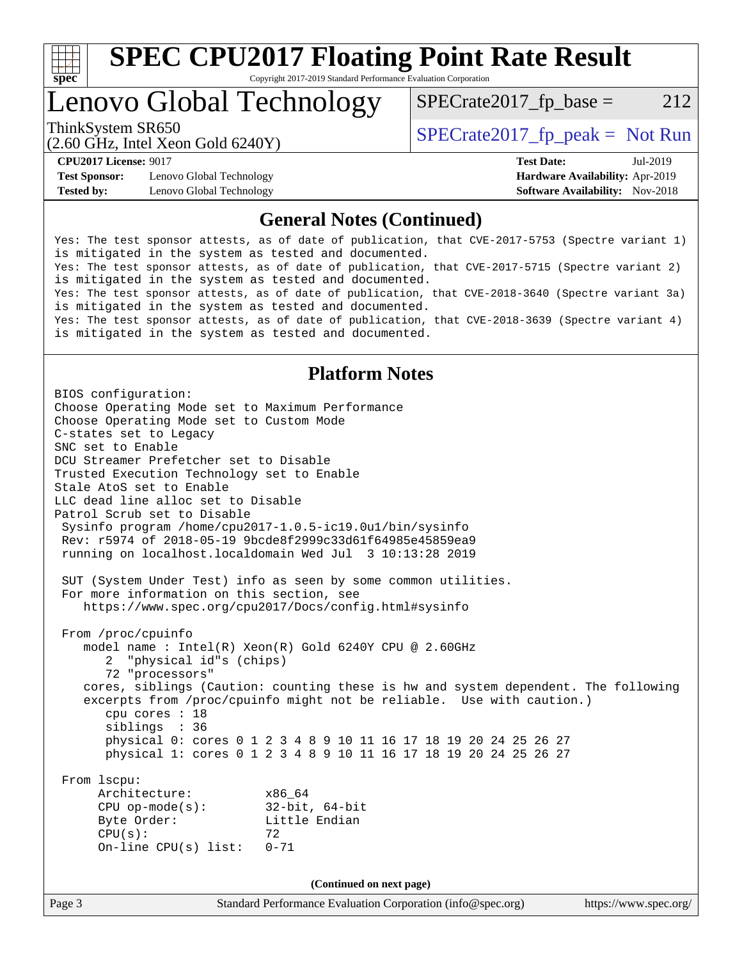

### Lenovo Global Technology

 $SPECTate2017<sub>fr</sub> base = 212$ 

(2.60 GHz, Intel Xeon Gold 6240Y)

ThinkSystem SR650<br>  $SPECTI<sub>50</sub>CH<sub>2</sub>$  Intel Year Gald 6240Y)

**[Test Sponsor:](http://www.spec.org/auto/cpu2017/Docs/result-fields.html#TestSponsor)** Lenovo Global Technology **[Hardware Availability:](http://www.spec.org/auto/cpu2017/Docs/result-fields.html#HardwareAvailability)** Apr-2019 **[Tested by:](http://www.spec.org/auto/cpu2017/Docs/result-fields.html#Testedby)** Lenovo Global Technology **[Software Availability:](http://www.spec.org/auto/cpu2017/Docs/result-fields.html#SoftwareAvailability)** Nov-2018

**[CPU2017 License:](http://www.spec.org/auto/cpu2017/Docs/result-fields.html#CPU2017License)** 9017 **[Test Date:](http://www.spec.org/auto/cpu2017/Docs/result-fields.html#TestDate)** Jul-2019

### **[General Notes \(Continued\)](http://www.spec.org/auto/cpu2017/Docs/result-fields.html#GeneralNotes)**

Yes: The test sponsor attests, as of date of publication, that CVE-2017-5753 (Spectre variant 1) is mitigated in the system as tested and documented. Yes: The test sponsor attests, as of date of publication, that CVE-2017-5715 (Spectre variant 2) is mitigated in the system as tested and documented. Yes: The test sponsor attests, as of date of publication, that CVE-2018-3640 (Spectre variant 3a) is mitigated in the system as tested and documented. Yes: The test sponsor attests, as of date of publication, that CVE-2018-3639 (Spectre variant 4) is mitigated in the system as tested and documented.

### **[Platform Notes](http://www.spec.org/auto/cpu2017/Docs/result-fields.html#PlatformNotes)**

Page 3 Standard Performance Evaluation Corporation [\(info@spec.org\)](mailto:info@spec.org) <https://www.spec.org/> BIOS configuration: Choose Operating Mode set to Maximum Performance Choose Operating Mode set to Custom Mode C-states set to Legacy SNC set to Enable DCU Streamer Prefetcher set to Disable Trusted Execution Technology set to Enable Stale AtoS set to Enable LLC dead line alloc set to Disable Patrol Scrub set to Disable Sysinfo program /home/cpu2017-1.0.5-ic19.0u1/bin/sysinfo Rev: r5974 of 2018-05-19 9bcde8f2999c33d61f64985e45859ea9 running on localhost.localdomain Wed Jul 3 10:13:28 2019 SUT (System Under Test) info as seen by some common utilities. For more information on this section, see <https://www.spec.org/cpu2017/Docs/config.html#sysinfo> From /proc/cpuinfo model name : Intel(R) Xeon(R) Gold 6240Y CPU @ 2.60GHz 2 "physical id"s (chips) 72 "processors" cores, siblings (Caution: counting these is hw and system dependent. The following excerpts from /proc/cpuinfo might not be reliable. Use with caution.) cpu cores : 18 siblings : 36 physical 0: cores 0 1 2 3 4 8 9 10 11 16 17 18 19 20 24 25 26 27 physical 1: cores 0 1 2 3 4 8 9 10 11 16 17 18 19 20 24 25 26 27 From lscpu: Architecture: x86\_64 CPU op-mode(s): 32-bit, 64-bit Byte Order: Little Endian  $CPU(s):$  72 On-line CPU(s) list: 0-71 **(Continued on next page)**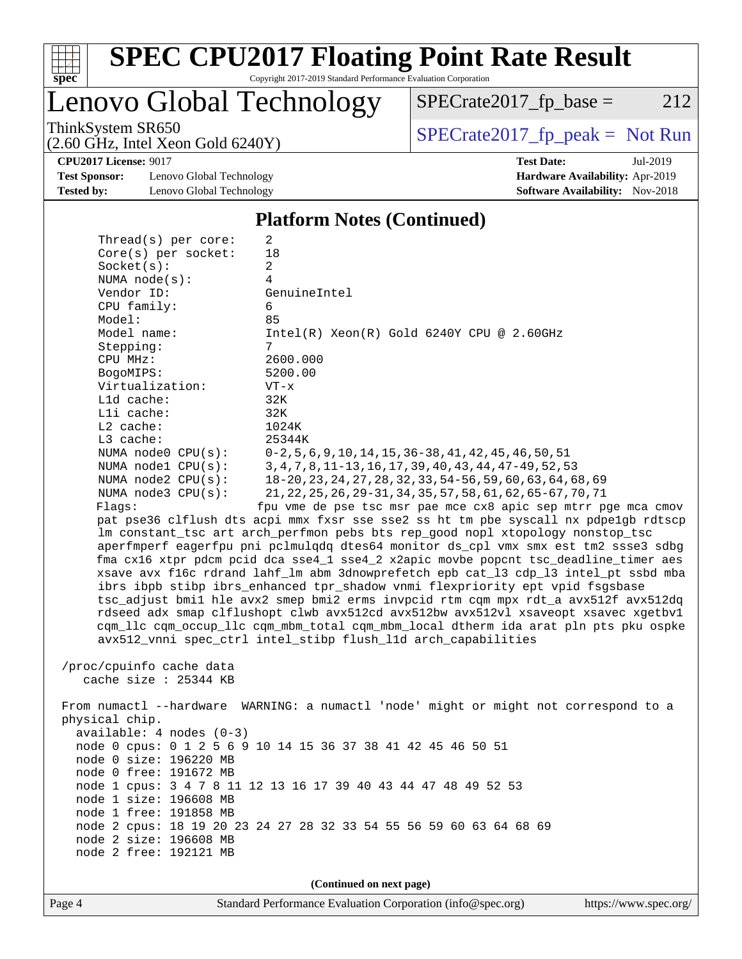

# **[SPEC CPU2017 Floating Point Rate Result](http://www.spec.org/auto/cpu2017/Docs/result-fields.html#SPECCPU2017FloatingPointRateResult)**

Copyright 2017-2019 Standard Performance Evaluation Corporation

Lenovo Global Technology

 $SPECTate2017_fp\_base = 212$ 

(2.60 GHz, Intel Xeon Gold 6240Y)

ThinkSystem SR650<br>  $(2.60 \text{ GHz. Intel Yoon Gold } 6240 \text{V})$  [SPECrate2017\\_fp\\_peak =](http://www.spec.org/auto/cpu2017/Docs/result-fields.html#SPECrate2017fppeak) Not Run

**[Test Sponsor:](http://www.spec.org/auto/cpu2017/Docs/result-fields.html#TestSponsor)** Lenovo Global Technology **[Hardware Availability:](http://www.spec.org/auto/cpu2017/Docs/result-fields.html#HardwareAvailability)** Apr-2019 **[Tested by:](http://www.spec.org/auto/cpu2017/Docs/result-fields.html#Testedby)** Lenovo Global Technology **[Software Availability:](http://www.spec.org/auto/cpu2017/Docs/result-fields.html#SoftwareAvailability)** Nov-2018

**[CPU2017 License:](http://www.spec.org/auto/cpu2017/Docs/result-fields.html#CPU2017License)** 9017 **[Test Date:](http://www.spec.org/auto/cpu2017/Docs/result-fields.html#TestDate)** Jul-2019

#### **[Platform Notes \(Continued\)](http://www.spec.org/auto/cpu2017/Docs/result-fields.html#PlatformNotes)**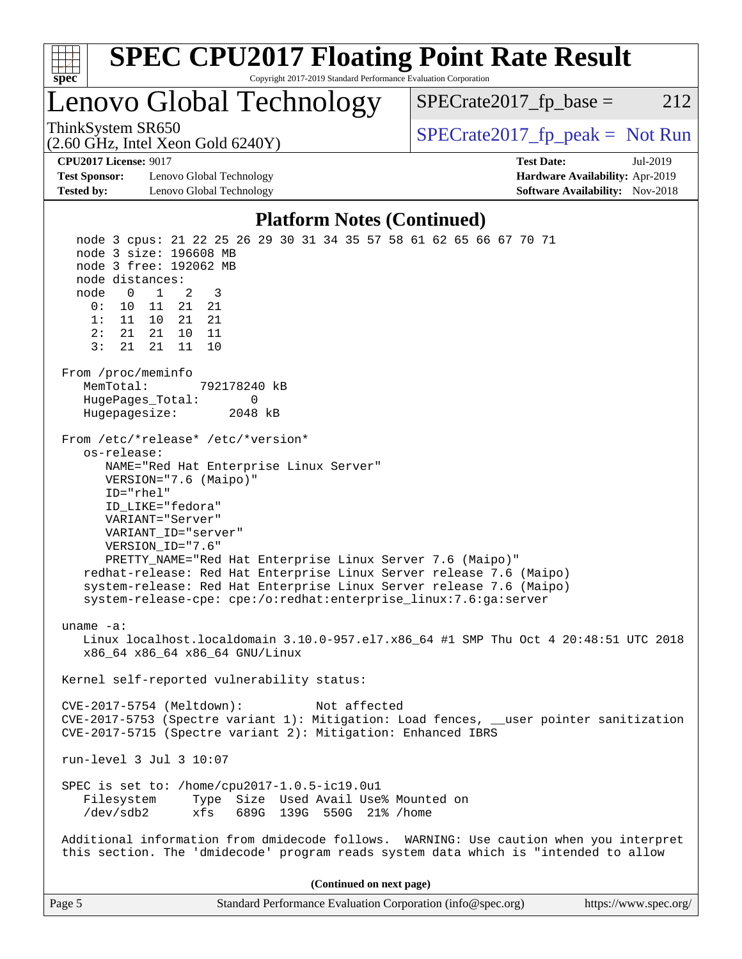

| Page 5 | Standard Performance Evaluation Corporation (info@spec.org) | https://www.spec.org/ |
|--------|-------------------------------------------------------------|-----------------------|
|        |                                                             |                       |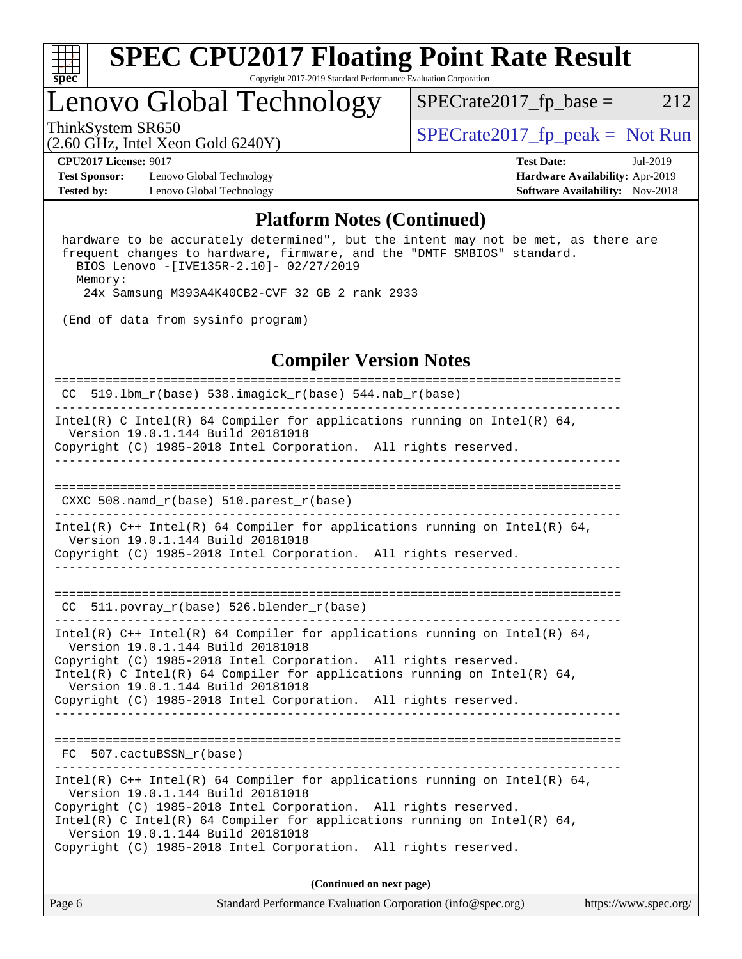

### Lenovo Global Technology

ThinkSystem SR650<br>  $\begin{array}{r} \text{SPECrate2017\_fp\_peak = Not Run} \\ \text{SPECrate2017\_fp\_peak = Not Run} \end{array}$  $SPECTate2017_fp\_base = 212$ 

(2.60 GHz, Intel Xeon Gold 6240Y)

**[Test Sponsor:](http://www.spec.org/auto/cpu2017/Docs/result-fields.html#TestSponsor)** Lenovo Global Technology **[Hardware Availability:](http://www.spec.org/auto/cpu2017/Docs/result-fields.html#HardwareAvailability)** Apr-2019 **[Tested by:](http://www.spec.org/auto/cpu2017/Docs/result-fields.html#Testedby)** Lenovo Global Technology **[Software Availability:](http://www.spec.org/auto/cpu2017/Docs/result-fields.html#SoftwareAvailability)** Nov-2018

**[CPU2017 License:](http://www.spec.org/auto/cpu2017/Docs/result-fields.html#CPU2017License)** 9017 **[Test Date:](http://www.spec.org/auto/cpu2017/Docs/result-fields.html#TestDate)** Jul-2019

#### **[Platform Notes \(Continued\)](http://www.spec.org/auto/cpu2017/Docs/result-fields.html#PlatformNotes)**

 hardware to be accurately determined", but the intent may not be met, as there are frequent changes to hardware, firmware, and the "DMTF SMBIOS" standard. BIOS Lenovo -[IVE135R-2.10]- 02/27/2019 Memory: 24x Samsung M393A4K40CB2-CVF 32 GB 2 rank 2933

(End of data from sysinfo program)

### **[Compiler Version Notes](http://www.spec.org/auto/cpu2017/Docs/result-fields.html#CompilerVersionNotes)**

| Page 6 | Standard Performance Evaluation Corporation (info@spec.org)                                                                                                                                                                                                                                                                                                              | https://www.spec.org/ |
|--------|--------------------------------------------------------------------------------------------------------------------------------------------------------------------------------------------------------------------------------------------------------------------------------------------------------------------------------------------------------------------------|-----------------------|
|        | (Continued on next page)                                                                                                                                                                                                                                                                                                                                                 |                       |
|        | Intel(R) $C++$ Intel(R) 64 Compiler for applications running on Intel(R) 64,<br>Version 19.0.1.144 Build 20181018<br>Copyright (C) 1985-2018 Intel Corporation. All rights reserved.<br>Intel(R) C Intel(R) 64 Compiler for applications running on Intel(R) 64,<br>Version 19.0.1.144 Build 20181018<br>Copyright (C) 1985-2018 Intel Corporation. All rights reserved. |                       |
|        | FC 507.cactuBSSN_r(base)                                                                                                                                                                                                                                                                                                                                                 |                       |
|        |                                                                                                                                                                                                                                                                                                                                                                          |                       |
|        | Intel(R) $C++$ Intel(R) 64 Compiler for applications running on Intel(R) 64,<br>Version 19.0.1.144 Build 20181018<br>Copyright (C) 1985-2018 Intel Corporation. All rights reserved.<br>Intel(R) C Intel(R) 64 Compiler for applications running on Intel(R) 64,<br>Version 19.0.1.144 Build 20181018<br>Copyright (C) 1985-2018 Intel Corporation. All rights reserved. |                       |
|        | CC 511. povray $r(base)$ 526. blender $r(base)$                                                                                                                                                                                                                                                                                                                          |                       |
|        | Version 19.0.1.144 Build 20181018<br>Copyright (C) 1985-2018 Intel Corporation. All rights reserved.                                                                                                                                                                                                                                                                     |                       |
|        | Intel(R) $C++$ Intel(R) 64 Compiler for applications running on Intel(R) 64,                                                                                                                                                                                                                                                                                             |                       |
|        | $CXXC 508.namd_r(base) 510.parest_r(base)$                                                                                                                                                                                                                                                                                                                               |                       |
|        | Copyright (C) 1985-2018 Intel Corporation. All rights reserved.                                                                                                                                                                                                                                                                                                          |                       |
|        | Intel(R) C Intel(R) 64 Compiler for applications running on Intel(R) 64,<br>Version 19.0.1.144 Build 20181018                                                                                                                                                                                                                                                            |                       |
|        | CC 519.1bm_r(base) 538.imagick_r(base) 544.nab_r(base)                                                                                                                                                                                                                                                                                                                   |                       |
|        |                                                                                                                                                                                                                                                                                                                                                                          |                       |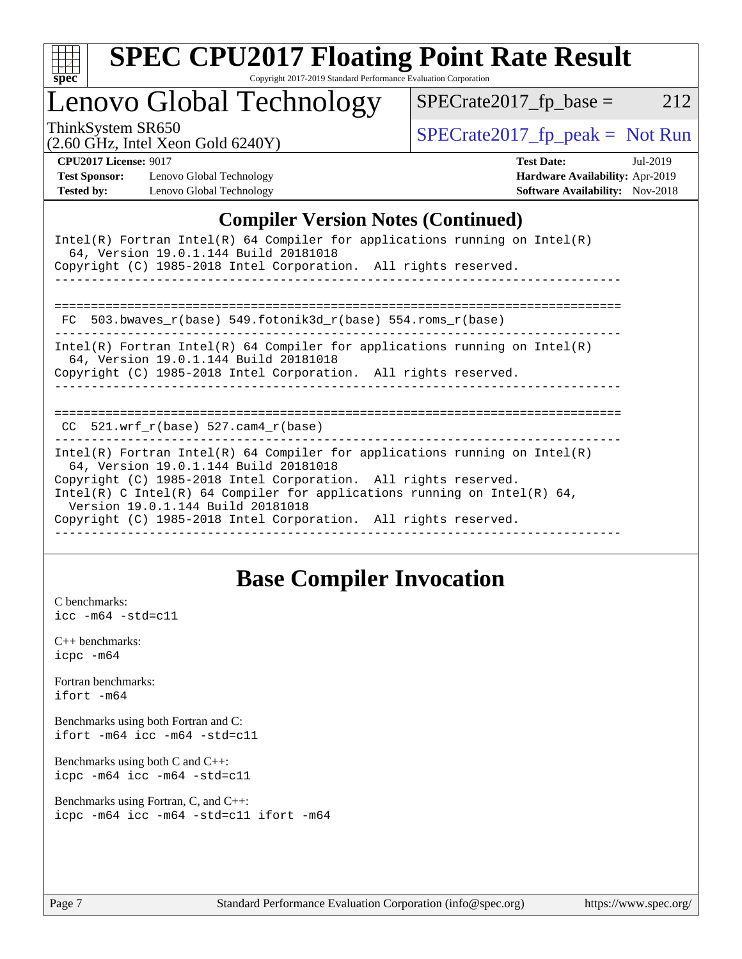| S<br>ne<br>÷ |  |  |  |  |  |  |
|--------------|--|--|--|--|--|--|

# **[SPEC CPU2017 Floating Point Rate Result](http://www.spec.org/auto/cpu2017/Docs/result-fields.html#SPECCPU2017FloatingPointRateResult)**

Copyright 2017-2019 Standard Performance Evaluation Corporation

### Lenovo Global Technology

ThinkSystem SR650<br>  $\begin{array}{r} \text{SPECrate2017\_fp\_peak = Not Run} \\ \text{SPECrate2017\_fp\_peak = Not Run} \end{array}$ 

 $SPECTate2017_fp\_base = 212$ 

(2.60 GHz, Intel Xeon Gold 6240Y)

**[CPU2017 License:](http://www.spec.org/auto/cpu2017/Docs/result-fields.html#CPU2017License)** 9017 **[Test Date:](http://www.spec.org/auto/cpu2017/Docs/result-fields.html#TestDate)** Jul-2019 **[Test Sponsor:](http://www.spec.org/auto/cpu2017/Docs/result-fields.html#TestSponsor)** Lenovo Global Technology **[Hardware Availability:](http://www.spec.org/auto/cpu2017/Docs/result-fields.html#HardwareAvailability)** Apr-2019 **[Tested by:](http://www.spec.org/auto/cpu2017/Docs/result-fields.html#Testedby)** Lenovo Global Technology **[Software Availability:](http://www.spec.org/auto/cpu2017/Docs/result-fields.html#SoftwareAvailability)** Nov-2018

### **[Compiler Version Notes \(Continued\)](http://www.spec.org/auto/cpu2017/Docs/result-fields.html#CompilerVersionNotes)**

| Intel(R) Fortran Intel(R) 64 Compiler for applications running on Intel(R)<br>64, Version 19.0.1.144 Build 20181018<br>Copyright (C) 1985-2018 Intel Corporation. All rights reserved.                                                                                                                                                                                     |
|----------------------------------------------------------------------------------------------------------------------------------------------------------------------------------------------------------------------------------------------------------------------------------------------------------------------------------------------------------------------------|
| 503.bwaves $r(base)$ 549.fotonik3d $r(base)$ 554.roms $r(base)$<br>FC                                                                                                                                                                                                                                                                                                      |
| Intel(R) Fortran Intel(R) 64 Compiler for applications running on Intel(R)<br>64, Version 19.0.1.144 Build 20181018<br>Copyright (C) 1985-2018 Intel Corporation. All rights reserved.                                                                                                                                                                                     |
| =====================================<br>$CC$ 521.wrf $r(base)$ 527.cam4 $r(base)$                                                                                                                                                                                                                                                                                         |
| Intel(R) Fortran Intel(R) 64 Compiler for applications running on Intel(R)<br>64, Version 19.0.1.144 Build 20181018<br>Copyright (C) 1985-2018 Intel Corporation. All rights reserved.<br>Intel(R) C Intel(R) 64 Compiler for applications running on Intel(R) 64,<br>Version 19.0.1.144 Build 20181018<br>Copyright (C) 1985-2018 Intel Corporation. All rights reserved. |

### **[Base Compiler Invocation](http://www.spec.org/auto/cpu2017/Docs/result-fields.html#BaseCompilerInvocation)**

[C benchmarks](http://www.spec.org/auto/cpu2017/Docs/result-fields.html#Cbenchmarks): [icc -m64 -std=c11](http://www.spec.org/cpu2017/results/res2019q3/cpu2017-20190708-16023.flags.html#user_CCbase_intel_icc_64bit_c11_33ee0cdaae7deeeab2a9725423ba97205ce30f63b9926c2519791662299b76a0318f32ddfffdc46587804de3178b4f9328c46fa7c2b0cd779d7a61945c91cd35)

[C++ benchmarks:](http://www.spec.org/auto/cpu2017/Docs/result-fields.html#CXXbenchmarks) [icpc -m64](http://www.spec.org/cpu2017/results/res2019q3/cpu2017-20190708-16023.flags.html#user_CXXbase_intel_icpc_64bit_4ecb2543ae3f1412ef961e0650ca070fec7b7afdcd6ed48761b84423119d1bf6bdf5cad15b44d48e7256388bc77273b966e5eb805aefd121eb22e9299b2ec9d9)

[Fortran benchmarks](http://www.spec.org/auto/cpu2017/Docs/result-fields.html#Fortranbenchmarks): [ifort -m64](http://www.spec.org/cpu2017/results/res2019q3/cpu2017-20190708-16023.flags.html#user_FCbase_intel_ifort_64bit_24f2bb282fbaeffd6157abe4f878425411749daecae9a33200eee2bee2fe76f3b89351d69a8130dd5949958ce389cf37ff59a95e7a40d588e8d3a57e0c3fd751)

[Benchmarks using both Fortran and C](http://www.spec.org/auto/cpu2017/Docs/result-fields.html#BenchmarksusingbothFortranandC): [ifort -m64](http://www.spec.org/cpu2017/results/res2019q3/cpu2017-20190708-16023.flags.html#user_CC_FCbase_intel_ifort_64bit_24f2bb282fbaeffd6157abe4f878425411749daecae9a33200eee2bee2fe76f3b89351d69a8130dd5949958ce389cf37ff59a95e7a40d588e8d3a57e0c3fd751) [icc -m64 -std=c11](http://www.spec.org/cpu2017/results/res2019q3/cpu2017-20190708-16023.flags.html#user_CC_FCbase_intel_icc_64bit_c11_33ee0cdaae7deeeab2a9725423ba97205ce30f63b9926c2519791662299b76a0318f32ddfffdc46587804de3178b4f9328c46fa7c2b0cd779d7a61945c91cd35)

[Benchmarks using both C and C++](http://www.spec.org/auto/cpu2017/Docs/result-fields.html#BenchmarksusingbothCandCXX): [icpc -m64](http://www.spec.org/cpu2017/results/res2019q3/cpu2017-20190708-16023.flags.html#user_CC_CXXbase_intel_icpc_64bit_4ecb2543ae3f1412ef961e0650ca070fec7b7afdcd6ed48761b84423119d1bf6bdf5cad15b44d48e7256388bc77273b966e5eb805aefd121eb22e9299b2ec9d9) [icc -m64 -std=c11](http://www.spec.org/cpu2017/results/res2019q3/cpu2017-20190708-16023.flags.html#user_CC_CXXbase_intel_icc_64bit_c11_33ee0cdaae7deeeab2a9725423ba97205ce30f63b9926c2519791662299b76a0318f32ddfffdc46587804de3178b4f9328c46fa7c2b0cd779d7a61945c91cd35)

```
Benchmarks using Fortran, C, and C++: 
icpc -m64 icc -m64 -std=c11 ifort -m64
```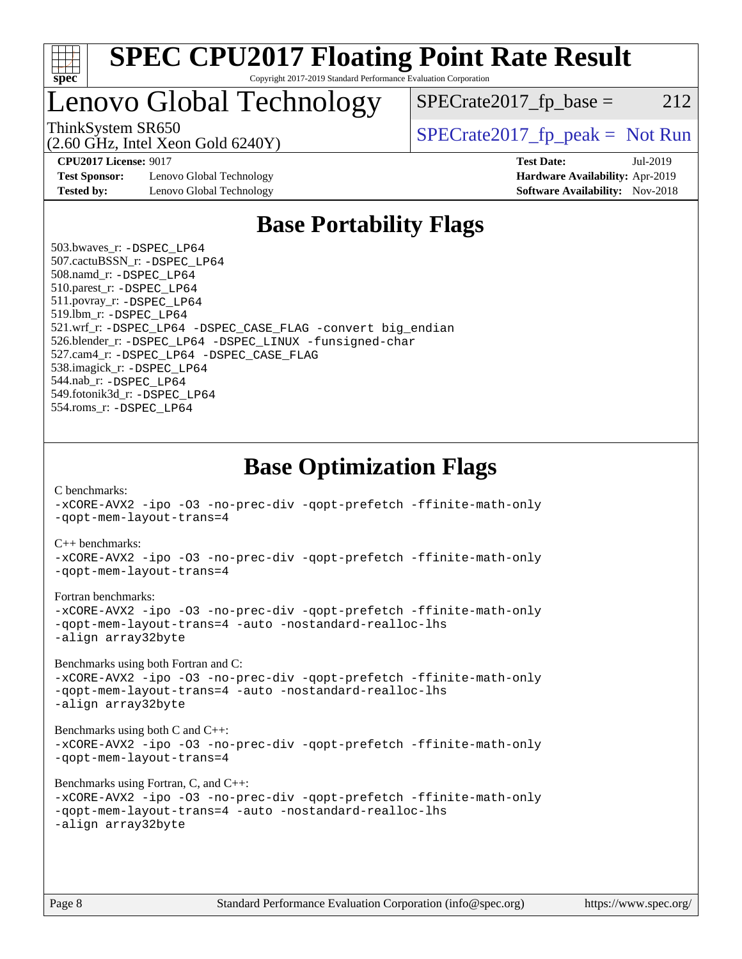

### Lenovo Global Technology

ThinkSystem SR650<br>  $SPECrate2017$  fp\_peak = Not Run

 $SPECTate2017<sub>fr</sub> base = 212$ 

(2.60 GHz, Intel Xeon Gold 6240Y)

**[Test Sponsor:](http://www.spec.org/auto/cpu2017/Docs/result-fields.html#TestSponsor)** Lenovo Global Technology **[Hardware Availability:](http://www.spec.org/auto/cpu2017/Docs/result-fields.html#HardwareAvailability)** Apr-2019 **[Tested by:](http://www.spec.org/auto/cpu2017/Docs/result-fields.html#Testedby)** Lenovo Global Technology **[Software Availability:](http://www.spec.org/auto/cpu2017/Docs/result-fields.html#SoftwareAvailability)** Nov-2018

**[CPU2017 License:](http://www.spec.org/auto/cpu2017/Docs/result-fields.html#CPU2017License)** 9017 **[Test Date:](http://www.spec.org/auto/cpu2017/Docs/result-fields.html#TestDate)** Jul-2019

### **[Base Portability Flags](http://www.spec.org/auto/cpu2017/Docs/result-fields.html#BasePortabilityFlags)**

 503.bwaves\_r: [-DSPEC\\_LP64](http://www.spec.org/cpu2017/results/res2019q3/cpu2017-20190708-16023.flags.html#suite_basePORTABILITY503_bwaves_r_DSPEC_LP64) 507.cactuBSSN\_r: [-DSPEC\\_LP64](http://www.spec.org/cpu2017/results/res2019q3/cpu2017-20190708-16023.flags.html#suite_basePORTABILITY507_cactuBSSN_r_DSPEC_LP64) 508.namd\_r: [-DSPEC\\_LP64](http://www.spec.org/cpu2017/results/res2019q3/cpu2017-20190708-16023.flags.html#suite_basePORTABILITY508_namd_r_DSPEC_LP64) 510.parest\_r: [-DSPEC\\_LP64](http://www.spec.org/cpu2017/results/res2019q3/cpu2017-20190708-16023.flags.html#suite_basePORTABILITY510_parest_r_DSPEC_LP64) 511.povray\_r: [-DSPEC\\_LP64](http://www.spec.org/cpu2017/results/res2019q3/cpu2017-20190708-16023.flags.html#suite_basePORTABILITY511_povray_r_DSPEC_LP64) 519.lbm\_r: [-DSPEC\\_LP64](http://www.spec.org/cpu2017/results/res2019q3/cpu2017-20190708-16023.flags.html#suite_basePORTABILITY519_lbm_r_DSPEC_LP64) 521.wrf\_r: [-DSPEC\\_LP64](http://www.spec.org/cpu2017/results/res2019q3/cpu2017-20190708-16023.flags.html#suite_basePORTABILITY521_wrf_r_DSPEC_LP64) [-DSPEC\\_CASE\\_FLAG](http://www.spec.org/cpu2017/results/res2019q3/cpu2017-20190708-16023.flags.html#b521.wrf_r_baseCPORTABILITY_DSPEC_CASE_FLAG) [-convert big\\_endian](http://www.spec.org/cpu2017/results/res2019q3/cpu2017-20190708-16023.flags.html#user_baseFPORTABILITY521_wrf_r_convert_big_endian_c3194028bc08c63ac5d04de18c48ce6d347e4e562e8892b8bdbdc0214820426deb8554edfa529a3fb25a586e65a3d812c835984020483e7e73212c4d31a38223) 526.blender\_r: [-DSPEC\\_LP64](http://www.spec.org/cpu2017/results/res2019q3/cpu2017-20190708-16023.flags.html#suite_basePORTABILITY526_blender_r_DSPEC_LP64) [-DSPEC\\_LINUX](http://www.spec.org/cpu2017/results/res2019q3/cpu2017-20190708-16023.flags.html#b526.blender_r_baseCPORTABILITY_DSPEC_LINUX) [-funsigned-char](http://www.spec.org/cpu2017/results/res2019q3/cpu2017-20190708-16023.flags.html#user_baseCPORTABILITY526_blender_r_force_uchar_40c60f00ab013830e2dd6774aeded3ff59883ba5a1fc5fc14077f794d777847726e2a5858cbc7672e36e1b067e7e5c1d9a74f7176df07886a243d7cc18edfe67) 527.cam4\_r: [-DSPEC\\_LP64](http://www.spec.org/cpu2017/results/res2019q3/cpu2017-20190708-16023.flags.html#suite_basePORTABILITY527_cam4_r_DSPEC_LP64) [-DSPEC\\_CASE\\_FLAG](http://www.spec.org/cpu2017/results/res2019q3/cpu2017-20190708-16023.flags.html#b527.cam4_r_baseCPORTABILITY_DSPEC_CASE_FLAG) 538.imagick\_r: [-DSPEC\\_LP64](http://www.spec.org/cpu2017/results/res2019q3/cpu2017-20190708-16023.flags.html#suite_basePORTABILITY538_imagick_r_DSPEC_LP64) 544.nab\_r: [-DSPEC\\_LP64](http://www.spec.org/cpu2017/results/res2019q3/cpu2017-20190708-16023.flags.html#suite_basePORTABILITY544_nab_r_DSPEC_LP64) 549.fotonik3d\_r: [-DSPEC\\_LP64](http://www.spec.org/cpu2017/results/res2019q3/cpu2017-20190708-16023.flags.html#suite_basePORTABILITY549_fotonik3d_r_DSPEC_LP64) 554.roms\_r: [-DSPEC\\_LP64](http://www.spec.org/cpu2017/results/res2019q3/cpu2017-20190708-16023.flags.html#suite_basePORTABILITY554_roms_r_DSPEC_LP64)

**[Base Optimization Flags](http://www.spec.org/auto/cpu2017/Docs/result-fields.html#BaseOptimizationFlags)**

[C benchmarks](http://www.spec.org/auto/cpu2017/Docs/result-fields.html#Cbenchmarks):

[-xCORE-AVX2](http://www.spec.org/cpu2017/results/res2019q3/cpu2017-20190708-16023.flags.html#user_CCbase_f-xCORE-AVX2) [-ipo](http://www.spec.org/cpu2017/results/res2019q3/cpu2017-20190708-16023.flags.html#user_CCbase_f-ipo) [-O3](http://www.spec.org/cpu2017/results/res2019q3/cpu2017-20190708-16023.flags.html#user_CCbase_f-O3) [-no-prec-div](http://www.spec.org/cpu2017/results/res2019q3/cpu2017-20190708-16023.flags.html#user_CCbase_f-no-prec-div) [-qopt-prefetch](http://www.spec.org/cpu2017/results/res2019q3/cpu2017-20190708-16023.flags.html#user_CCbase_f-qopt-prefetch) [-ffinite-math-only](http://www.spec.org/cpu2017/results/res2019q3/cpu2017-20190708-16023.flags.html#user_CCbase_f_finite_math_only_cb91587bd2077682c4b38af759c288ed7c732db004271a9512da14a4f8007909a5f1427ecbf1a0fb78ff2a814402c6114ac565ca162485bbcae155b5e4258871) [-qopt-mem-layout-trans=4](http://www.spec.org/cpu2017/results/res2019q3/cpu2017-20190708-16023.flags.html#user_CCbase_f-qopt-mem-layout-trans_fa39e755916c150a61361b7846f310bcdf6f04e385ef281cadf3647acec3f0ae266d1a1d22d972a7087a248fd4e6ca390a3634700869573d231a252c784941a8) [C++ benchmarks:](http://www.spec.org/auto/cpu2017/Docs/result-fields.html#CXXbenchmarks) [-xCORE-AVX2](http://www.spec.org/cpu2017/results/res2019q3/cpu2017-20190708-16023.flags.html#user_CXXbase_f-xCORE-AVX2) [-ipo](http://www.spec.org/cpu2017/results/res2019q3/cpu2017-20190708-16023.flags.html#user_CXXbase_f-ipo) [-O3](http://www.spec.org/cpu2017/results/res2019q3/cpu2017-20190708-16023.flags.html#user_CXXbase_f-O3) [-no-prec-div](http://www.spec.org/cpu2017/results/res2019q3/cpu2017-20190708-16023.flags.html#user_CXXbase_f-no-prec-div) [-qopt-prefetch](http://www.spec.org/cpu2017/results/res2019q3/cpu2017-20190708-16023.flags.html#user_CXXbase_f-qopt-prefetch) [-ffinite-math-only](http://www.spec.org/cpu2017/results/res2019q3/cpu2017-20190708-16023.flags.html#user_CXXbase_f_finite_math_only_cb91587bd2077682c4b38af759c288ed7c732db004271a9512da14a4f8007909a5f1427ecbf1a0fb78ff2a814402c6114ac565ca162485bbcae155b5e4258871) [-qopt-mem-layout-trans=4](http://www.spec.org/cpu2017/results/res2019q3/cpu2017-20190708-16023.flags.html#user_CXXbase_f-qopt-mem-layout-trans_fa39e755916c150a61361b7846f310bcdf6f04e385ef281cadf3647acec3f0ae266d1a1d22d972a7087a248fd4e6ca390a3634700869573d231a252c784941a8) [Fortran benchmarks](http://www.spec.org/auto/cpu2017/Docs/result-fields.html#Fortranbenchmarks): [-xCORE-AVX2](http://www.spec.org/cpu2017/results/res2019q3/cpu2017-20190708-16023.flags.html#user_FCbase_f-xCORE-AVX2) [-ipo](http://www.spec.org/cpu2017/results/res2019q3/cpu2017-20190708-16023.flags.html#user_FCbase_f-ipo) [-O3](http://www.spec.org/cpu2017/results/res2019q3/cpu2017-20190708-16023.flags.html#user_FCbase_f-O3) [-no-prec-div](http://www.spec.org/cpu2017/results/res2019q3/cpu2017-20190708-16023.flags.html#user_FCbase_f-no-prec-div) [-qopt-prefetch](http://www.spec.org/cpu2017/results/res2019q3/cpu2017-20190708-16023.flags.html#user_FCbase_f-qopt-prefetch) [-ffinite-math-only](http://www.spec.org/cpu2017/results/res2019q3/cpu2017-20190708-16023.flags.html#user_FCbase_f_finite_math_only_cb91587bd2077682c4b38af759c288ed7c732db004271a9512da14a4f8007909a5f1427ecbf1a0fb78ff2a814402c6114ac565ca162485bbcae155b5e4258871) [-qopt-mem-layout-trans=4](http://www.spec.org/cpu2017/results/res2019q3/cpu2017-20190708-16023.flags.html#user_FCbase_f-qopt-mem-layout-trans_fa39e755916c150a61361b7846f310bcdf6f04e385ef281cadf3647acec3f0ae266d1a1d22d972a7087a248fd4e6ca390a3634700869573d231a252c784941a8) [-auto](http://www.spec.org/cpu2017/results/res2019q3/cpu2017-20190708-16023.flags.html#user_FCbase_f-auto) [-nostandard-realloc-lhs](http://www.spec.org/cpu2017/results/res2019q3/cpu2017-20190708-16023.flags.html#user_FCbase_f_2003_std_realloc_82b4557e90729c0f113870c07e44d33d6f5a304b4f63d4c15d2d0f1fab99f5daaed73bdb9275d9ae411527f28b936061aa8b9c8f2d63842963b95c9dd6426b8a) [-align array32byte](http://www.spec.org/cpu2017/results/res2019q3/cpu2017-20190708-16023.flags.html#user_FCbase_align_array32byte_b982fe038af199962ba9a80c053b8342c548c85b40b8e86eb3cc33dee0d7986a4af373ac2d51c3f7cf710a18d62fdce2948f201cd044323541f22fc0fffc51b6) [Benchmarks using both Fortran and C](http://www.spec.org/auto/cpu2017/Docs/result-fields.html#BenchmarksusingbothFortranandC): [-xCORE-AVX2](http://www.spec.org/cpu2017/results/res2019q3/cpu2017-20190708-16023.flags.html#user_CC_FCbase_f-xCORE-AVX2) [-ipo](http://www.spec.org/cpu2017/results/res2019q3/cpu2017-20190708-16023.flags.html#user_CC_FCbase_f-ipo) [-O3](http://www.spec.org/cpu2017/results/res2019q3/cpu2017-20190708-16023.flags.html#user_CC_FCbase_f-O3) [-no-prec-div](http://www.spec.org/cpu2017/results/res2019q3/cpu2017-20190708-16023.flags.html#user_CC_FCbase_f-no-prec-div) [-qopt-prefetch](http://www.spec.org/cpu2017/results/res2019q3/cpu2017-20190708-16023.flags.html#user_CC_FCbase_f-qopt-prefetch) [-ffinite-math-only](http://www.spec.org/cpu2017/results/res2019q3/cpu2017-20190708-16023.flags.html#user_CC_FCbase_f_finite_math_only_cb91587bd2077682c4b38af759c288ed7c732db004271a9512da14a4f8007909a5f1427ecbf1a0fb78ff2a814402c6114ac565ca162485bbcae155b5e4258871) [-qopt-mem-layout-trans=4](http://www.spec.org/cpu2017/results/res2019q3/cpu2017-20190708-16023.flags.html#user_CC_FCbase_f-qopt-mem-layout-trans_fa39e755916c150a61361b7846f310bcdf6f04e385ef281cadf3647acec3f0ae266d1a1d22d972a7087a248fd4e6ca390a3634700869573d231a252c784941a8) [-auto](http://www.spec.org/cpu2017/results/res2019q3/cpu2017-20190708-16023.flags.html#user_CC_FCbase_f-auto) [-nostandard-realloc-lhs](http://www.spec.org/cpu2017/results/res2019q3/cpu2017-20190708-16023.flags.html#user_CC_FCbase_f_2003_std_realloc_82b4557e90729c0f113870c07e44d33d6f5a304b4f63d4c15d2d0f1fab99f5daaed73bdb9275d9ae411527f28b936061aa8b9c8f2d63842963b95c9dd6426b8a) [-align array32byte](http://www.spec.org/cpu2017/results/res2019q3/cpu2017-20190708-16023.flags.html#user_CC_FCbase_align_array32byte_b982fe038af199962ba9a80c053b8342c548c85b40b8e86eb3cc33dee0d7986a4af373ac2d51c3f7cf710a18d62fdce2948f201cd044323541f22fc0fffc51b6) [Benchmarks using both C and C++](http://www.spec.org/auto/cpu2017/Docs/result-fields.html#BenchmarksusingbothCandCXX): [-xCORE-AVX2](http://www.spec.org/cpu2017/results/res2019q3/cpu2017-20190708-16023.flags.html#user_CC_CXXbase_f-xCORE-AVX2) [-ipo](http://www.spec.org/cpu2017/results/res2019q3/cpu2017-20190708-16023.flags.html#user_CC_CXXbase_f-ipo) [-O3](http://www.spec.org/cpu2017/results/res2019q3/cpu2017-20190708-16023.flags.html#user_CC_CXXbase_f-O3) [-no-prec-div](http://www.spec.org/cpu2017/results/res2019q3/cpu2017-20190708-16023.flags.html#user_CC_CXXbase_f-no-prec-div) [-qopt-prefetch](http://www.spec.org/cpu2017/results/res2019q3/cpu2017-20190708-16023.flags.html#user_CC_CXXbase_f-qopt-prefetch) [-ffinite-math-only](http://www.spec.org/cpu2017/results/res2019q3/cpu2017-20190708-16023.flags.html#user_CC_CXXbase_f_finite_math_only_cb91587bd2077682c4b38af759c288ed7c732db004271a9512da14a4f8007909a5f1427ecbf1a0fb78ff2a814402c6114ac565ca162485bbcae155b5e4258871) [-qopt-mem-layout-trans=4](http://www.spec.org/cpu2017/results/res2019q3/cpu2017-20190708-16023.flags.html#user_CC_CXXbase_f-qopt-mem-layout-trans_fa39e755916c150a61361b7846f310bcdf6f04e385ef281cadf3647acec3f0ae266d1a1d22d972a7087a248fd4e6ca390a3634700869573d231a252c784941a8) [Benchmarks using Fortran, C, and C++:](http://www.spec.org/auto/cpu2017/Docs/result-fields.html#BenchmarksusingFortranCandCXX) [-xCORE-AVX2](http://www.spec.org/cpu2017/results/res2019q3/cpu2017-20190708-16023.flags.html#user_CC_CXX_FCbase_f-xCORE-AVX2) [-ipo](http://www.spec.org/cpu2017/results/res2019q3/cpu2017-20190708-16023.flags.html#user_CC_CXX_FCbase_f-ipo) [-O3](http://www.spec.org/cpu2017/results/res2019q3/cpu2017-20190708-16023.flags.html#user_CC_CXX_FCbase_f-O3) [-no-prec-div](http://www.spec.org/cpu2017/results/res2019q3/cpu2017-20190708-16023.flags.html#user_CC_CXX_FCbase_f-no-prec-div) [-qopt-prefetch](http://www.spec.org/cpu2017/results/res2019q3/cpu2017-20190708-16023.flags.html#user_CC_CXX_FCbase_f-qopt-prefetch) [-ffinite-math-only](http://www.spec.org/cpu2017/results/res2019q3/cpu2017-20190708-16023.flags.html#user_CC_CXX_FCbase_f_finite_math_only_cb91587bd2077682c4b38af759c288ed7c732db004271a9512da14a4f8007909a5f1427ecbf1a0fb78ff2a814402c6114ac565ca162485bbcae155b5e4258871) [-qopt-mem-layout-trans=4](http://www.spec.org/cpu2017/results/res2019q3/cpu2017-20190708-16023.flags.html#user_CC_CXX_FCbase_f-qopt-mem-layout-trans_fa39e755916c150a61361b7846f310bcdf6f04e385ef281cadf3647acec3f0ae266d1a1d22d972a7087a248fd4e6ca390a3634700869573d231a252c784941a8) [-auto](http://www.spec.org/cpu2017/results/res2019q3/cpu2017-20190708-16023.flags.html#user_CC_CXX_FCbase_f-auto) [-nostandard-realloc-lhs](http://www.spec.org/cpu2017/results/res2019q3/cpu2017-20190708-16023.flags.html#user_CC_CXX_FCbase_f_2003_std_realloc_82b4557e90729c0f113870c07e44d33d6f5a304b4f63d4c15d2d0f1fab99f5daaed73bdb9275d9ae411527f28b936061aa8b9c8f2d63842963b95c9dd6426b8a) [-align array32byte](http://www.spec.org/cpu2017/results/res2019q3/cpu2017-20190708-16023.flags.html#user_CC_CXX_FCbase_align_array32byte_b982fe038af199962ba9a80c053b8342c548c85b40b8e86eb3cc33dee0d7986a4af373ac2d51c3f7cf710a18d62fdce2948f201cd044323541f22fc0fffc51b6)